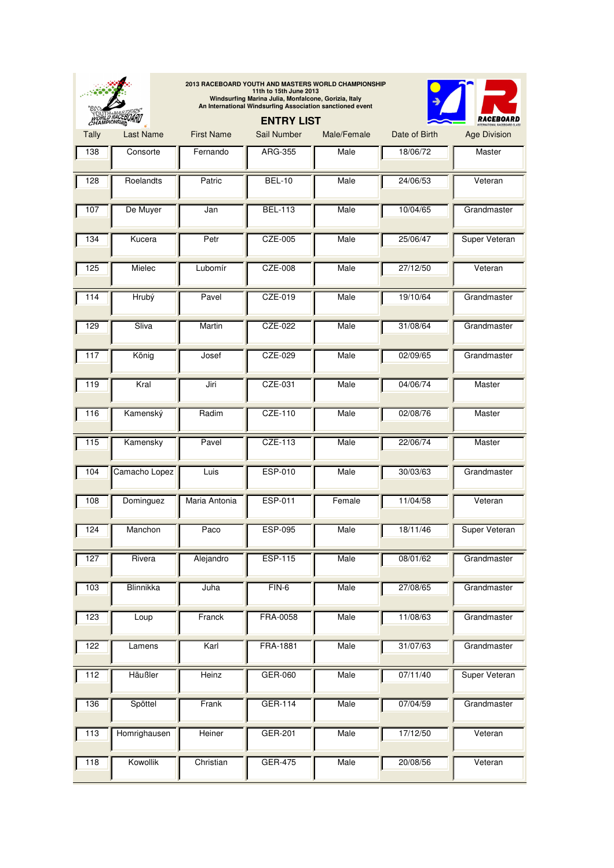| WORLD RACEBOARD |                  |                   | 2013 RACEBOARD YOUTH AND MASTERS WORLD CHAMPIONSHIP<br>11th to 15th June 2013<br>Windsurfing Marina Julia, Monfalcone, Gorizia, Italy<br>An International Windsurfing Association sanctioned event<br><b>ENTRY LIST</b> |             |               |                      |
|-----------------|------------------|-------------------|-------------------------------------------------------------------------------------------------------------------------------------------------------------------------------------------------------------------------|-------------|---------------|----------------------|
| Tally           | <b>Last Name</b> | <b>First Name</b> | Sail Number                                                                                                                                                                                                             | Male/Female | Date of Birth | <b>Age Division</b>  |
| 138             | Consorte         | Fernando          | <b>ARG-355</b>                                                                                                                                                                                                          | Male        | 18/06/72      | Master               |
| 128             | Roelandts        | Patric            | <b>BEL-10</b>                                                                                                                                                                                                           | Male        | 24/06/53      | Veteran              |
| 107             | De Muyer         | Jan               | <b>BEL-113</b>                                                                                                                                                                                                          | Male        | 10/04/65      | Grandmaster          |
| 134             | Kucera           | Petr              | CZE-005                                                                                                                                                                                                                 | Male        | 25/06/47      | Super Veteran        |
| 125             | Mielec           | Lubomír           | CZE-008                                                                                                                                                                                                                 | Male        | 27/12/50      | Veteran              |
| 114             | Hrubý            | Pavel             | CZE-019                                                                                                                                                                                                                 | Male        | 19/10/64      | Grandmaster          |
| 129             | Sliva            | Martin            | CZE-022                                                                                                                                                                                                                 | Male        | 31/08/64      | Grandmaster          |
| 117             | König            | Josef             | CZE-029                                                                                                                                                                                                                 | Male        | 02/09/65      | Grandmaster          |
| 119             | Kral             | Jiri              | CZE-031                                                                                                                                                                                                                 | Male        | 04/06/74      | Master               |
| 116             | Kamenský         | Radim             | CZE-110                                                                                                                                                                                                                 | Male        | 02/08/76      | Master               |
| 115             | Kamensky         | Pavel             | CZE-113                                                                                                                                                                                                                 | Male        | 22/06/74      | Master               |
| 104             | Camacho Lopez    | Luis              | <b>ESP-010</b>                                                                                                                                                                                                          | Male        | 30/03/63      | Grandmaster          |
| 108             | Dominguez        | Maria Antonia     | ESP-011                                                                                                                                                                                                                 | Female      | 11/04/58      | Veteran              |
| 124             | Manchon          | Paco              | <b>ESP-095</b>                                                                                                                                                                                                          | Male        | 18/11/46      | <b>Super Veteran</b> |
| 127             | Rivera           | Alejandro         | <b>ESP-115</b>                                                                                                                                                                                                          | Male        | 08/01/62      | Grandmaster          |
| $\frac{103}{2}$ | Blinnikka        | Juha              | $FIN-6$                                                                                                                                                                                                                 | Male        | 27/08/65      | Grandmaster          |
| 123             | Loup             | Franck            | FRA-0058                                                                                                                                                                                                                | Male        | 11/08/63      | Grandmaster          |
| 122             | Lamens           | Karl              | FRA-1881                                                                                                                                                                                                                | Male        | 31/07/63      | Grandmaster          |
| 112             | Häußler          | Heinz             | GER-060                                                                                                                                                                                                                 | Male        | 07/11/40      | Super Veteran        |
| 136             | Spöttel          | Frank             | GER-114                                                                                                                                                                                                                 | Male        | 07/04/59      | Grandmaster          |
| $\frac{113}{2}$ | Homrighausen     | Heiner            | GER-201                                                                                                                                                                                                                 | Male        | 17/12/50      | Veteran              |
| 118             | Kowollik         | Christian         | <b>GER-475</b>                                                                                                                                                                                                          | Male        | 20/08/56      | Veteran              |